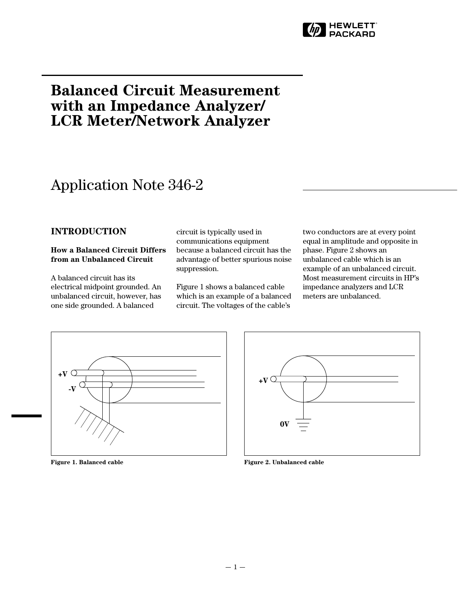

# **Balanced Circuit Measurement with an Impedance Analyzer/ LCR Meter/Network Analyzer**

# Application Note 346-2

## **INTRODUCTION**

#### **How a Balanced Circuit Differs from an Unbalanced Circuit**

A balanced circuit has its electrical midpoint grounded. An unbalanced circuit, however, has one side grounded. A balanced

circuit is typically used in communications equipment because a balanced circuit has the advantage of better spurious noise suppression.

Figure 1 shows a balanced cable which is an example of a balanced circuit. The voltages of the cable's

two conductors are at every point equal in amplitude and opposite in phase. Figure 2 shows an unbalanced cable which is an example of an unbalanced circuit. Most measurement circuits in HP's impedance analyzers and LCR meters are unbalanced.



**Figure 1. Balanced cable**



**Figure 2. Unbalanced cable**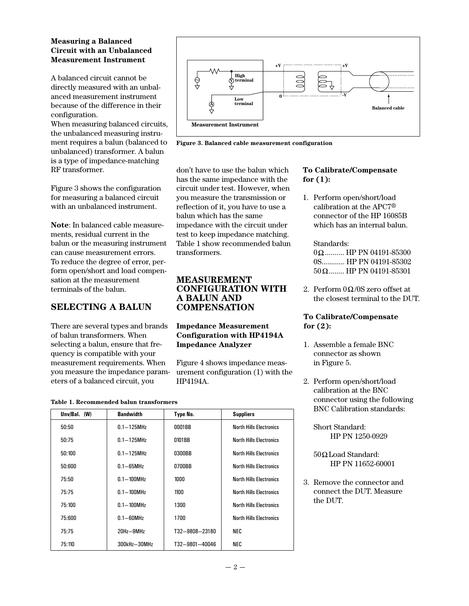### **Measuring a Balanced Circuit with an Unbalanced Measurement Instrument**

A balanced circuit cannot be directly measured with an unbalanced measurement instrument because of the difference in their configuration.

When measuring balanced circuits, the unbalanced measuring instrument requires a balun (balanced to unbalanced) transformer. A balun is a type of impedance-matching RF transformer.

Figure 3 shows the configuration for measuring a balanced circuit with an unbalanced instrument.

**Note**: In balanced cable measurements, residual current in the balun or the measuring instrument can cause measurement errors. To reduce the degree of error, perform open/short and load compensation at the measurement terminals of the balun.

## **SELECTING A BALUN**

There are several types and brands of balun transformers. When selecting a balun, ensure that frequency is compatible with your measurement requirements. When you measure the impedance parameters of a balanced circuit, you

| Table 1. Recommended balun transformers |
|-----------------------------------------|
|-----------------------------------------|

| Unv/Bal. (W) | <b>Bandwidth</b> | Type No.       | <b>Suppliers</b>               |
|--------------|------------------|----------------|--------------------------------|
| 50:50        | $0.1 - 125$ MHz  | 0001BB         | <b>North Hills Flectronics</b> |
| 50:75        | $0.1 - 125$ MHz  | 0101BB         | <b>North Hills Electronics</b> |
| 50:100       | $0.1 - 125$ MHz  | 0300BB         | <b>North Hills Flectronics</b> |
| 50:600       | $0.1 - 65$ MHz   | 0700BB         | <b>North Hills Electronics</b> |
| 75:50        | $0.1 - 100$ MHz  | 1000           | <b>North Hills Electronics</b> |
| 75:75        | $0.1 - 100$ MHz  | 1100           | <b>North Hills Flectronics</b> |
| 75:100       | $0.1 - 100$ MHz  | 1300           | <b>North Hills Flectronics</b> |
| 75:600       | $0.1 - 60$ MHz   | 1700           | <b>North Hills Electronics</b> |
| 75:75        | 20Hz-9MHz        | T32-9808-23180 | NEC                            |
| 75:110       | 300kHz-30MHz     | T32-9801-40046 | NEC                            |



**Figure 3. Balanced cable measurement configuration**

don't have to use the balun which has the same impedance with the circuit under test. However, when you measure the transmission or reflection of it, you have to use a balun which has the same impedance with the circuit under test to keep impedance matching. Table 1 show recommended balun transformers.

## **MEASUREMENT CONFIGURATION WITH A BALUN AND COMPENSATION**

## **Impedance Measurement Configuration with HP4194A Impedance Analyzer**

Figure 4 shows impedance measurement configuration (1) with the HP4194A.

## **To Calibrate/Compensate for (1):**

1. Perform open/short/load calibration at the APC7® connector of the HP 16085B which has an internal balun.

## Standards:

 $0\Omega$ .......... HP PN 04191-85300 0S............ HP PN 04191-85302  $50 \Omega$ ........ HP PN 04191-85301

2. Perform  $0\Omega/0S$  zero offset at the closest terminal to the DUT.

## **To Calibrate/Compensate for (2):**

- 1. Assemble a female BNC connector as shown in Figure 5.
- 2. Perform open/short/load calibration at the BNC connector using the following BNC Calibration standards:

Short Standard: HP PN 1250-0929

- $50\Omega$  Load Standard: HP PN 11652-60001
- 3. Remove the connector and connect the DUT. Measure the DUT.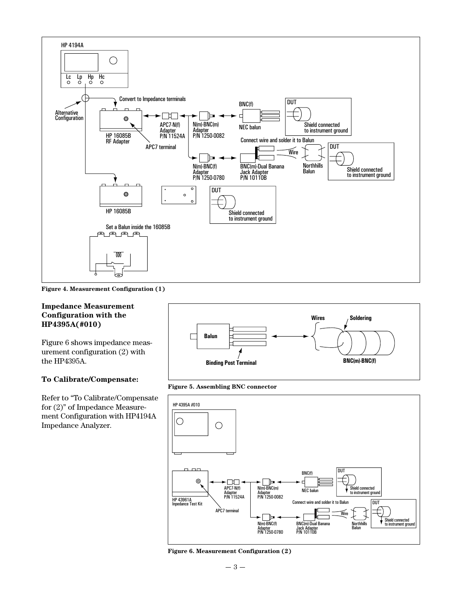

**Figure 4. Measurement Configuration (1)**

#### **Impedance Measurement Configuration with the HP4395A(#010)**

Figure 6 shows impedance measurement configuration (2) with the HP4395A.

#### **To Calibrate/Compensate:**

Refer to "To Calibrate/Compensate for (2)" of Impedance Measurement Configuration with HP4194A Impedance Analyzer.



**Figure 5. Assembling BNC connector**



**Figure 6. Measurement Configuration (2)**